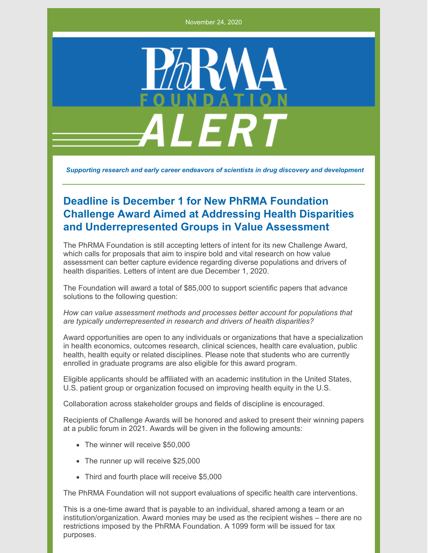November 24, 2020



*Supporting research and early career endeavors of scientists in drug discovery and development*

# **Deadline is December 1 for New PhRMA Foundation Challenge Award Aimed at Addressing Health Disparities and Underrepresented Groups in Value Assessment**

The PhRMA Foundation is still accepting letters of intent for its new Challenge Award, which calls for proposals that aim to inspire bold and vital research on how value assessment can better capture evidence regarding diverse populations and drivers of health disparities. Letters of intent are due December 1, 2020.

The Foundation will award a total of \$85,000 to support scientific papers that advance solutions to the following question:

*How can value assessment methods and processes better account for populations that are typically underrepresented in research and drivers of health disparities?*

Award opportunities are open to any individuals or organizations that have a specialization in health economics, outcomes research, clinical sciences, health care evaluation, public health, health equity or related disciplines. Please note that students who are currently enrolled in graduate programs are also eligible for this award program.

Eligible applicants should be affiliated with an academic institution in the United States, U.S. patient group or organization focused on improving health equity in the U.S.

Collaboration across stakeholder groups and fields of discipline is encouraged.

Recipients of Challenge Awards will be honored and asked to present their winning papers at a public forum in 2021. Awards will be given in the following amounts:

- The winner will receive \$50,000
- The runner up will receive \$25,000
- Third and fourth place will receive \$5,000

The PhRMA Foundation will not support evaluations of specific health care interventions.

This is a one-time award that is payable to an individual, shared among a team or an institution/organization. Award monies may be used as the recipient wishes – there are no restrictions imposed by the PhRMA Foundation. A 1099 form will be issued for tax purposes.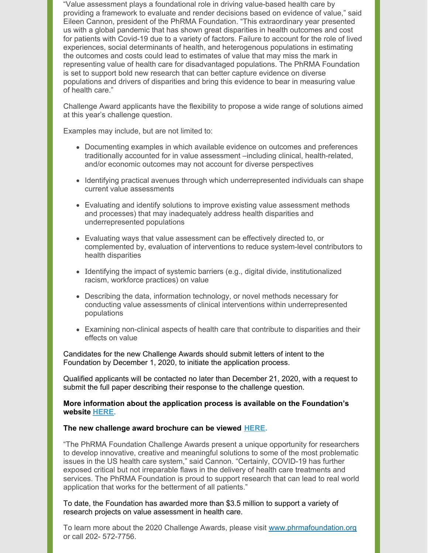"Value assessment plays a foundational role in driving value-based health care by providing a framework to evaluate and render decisions based on evidence of value," said Eileen Cannon, president of the PhRMA Foundation. "This extraordinary year presented us with a global pandemic that has shown great disparities in health outcomes and cost for patients with Covid-19 due to a variety of factors. Failure to account for the role of lived experiences, social determinants of health, and heterogenous populations in estimating the outcomes and costs could lead to estimates of value that may miss the mark in representing value of health care for disadvantaged populations. The PhRMA Foundation is set to support bold new research that can better capture evidence on diverse populations and drivers of disparities and bring this evidence to bear in measuring value of health care."

Challenge Award applicants have the flexibility to propose a wide range of solutions aimed at this year's challenge question.

Examples may include, but are not limited to:

- Documenting examples in which available evidence on outcomes and preferences traditionally accounted for in value assessment –including clinical, health-related, and/or economic outcomes may not account for diverse perspectives
- Identifying practical avenues through which underrepresented individuals can shape current value assessments
- Evaluating and identify solutions to improve existing value assessment methods and processes) that may inadequately address health disparities and underrepresented populations
- Evaluating ways that value assessment can be effectively directed to, or complemented by, evaluation of interventions to reduce system-level contributors to health disparities
- Identifying the impact of systemic barriers (e.g., digital divide, institutionalized racism, workforce practices) on value
- Describing the data, information technology, or novel methods necessary for conducting value assessments of clinical interventions within underrepresented populations
- Examining non-clinical aspects of health care that contribute to disparities and their effects on value

Candidates for the new Challenge Awards should submit letters of intent to the Foundation by December 1, 2020, to initiate the application process.

Qualified applicants will be contacted no later than December 21, 2020, with a request to submit the full paper describing their response to the challenge question.

## **More information about the application process is available on the Foundation's website [HERE](http://www.phrmafoundation.org/2018-awards/value-assessment-initiative/valuing-health-equity-challenge-award/).**

## **The new challenge award brochure can be viewed [HERE](http://www.phrmafoundation.org/wp-content/uploads/2020/10/Valuing-Health-Equity-Challenge-Award-Brochure-FINAL-10.2020.pdf).**

"The PhRMA Foundation Challenge Awards present a unique opportunity for researchers to develop innovative, creative and meaningful solutions to some of the most problematic issues in the US health care system," said Cannon. "Certainly, COVID-19 has further exposed critical but not irreparable flaws in the delivery of health care treatments and services. The PhRMA Foundation is proud to support research that can lead to real world application that works for the betterment of all patients."

To date, the Foundation has awarded more than \$3.5 million to support a variety of research projects on value assessment in health care.

To learn more about the 2020 Challenge Awards, please visit [www.phrmafoundation.org](http://www.phrmafoundation.org/) or call 202- 572-7756.